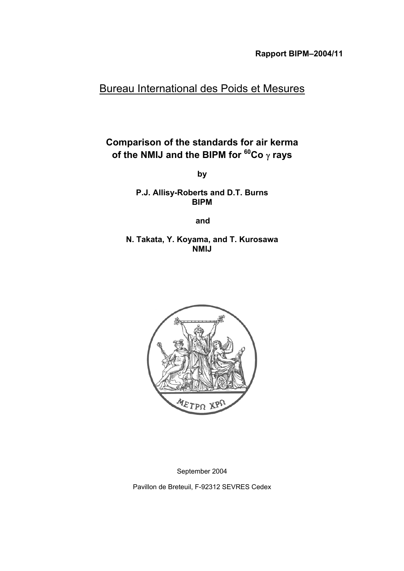# Bureau International des Poids et Mesures

# **Comparison of the standards for air kerma of the NMIJ and the BIPM for 60Co** γ **rays**

**by**

**P.J. Allisy-Roberts and D.T. Burns BIPM**

**and**

**N. Takata, Y. Koyama, and T. Kurosawa NMIJ**



September 2004

Pavillon de Breteuil, F-92312 SEVRES Cedex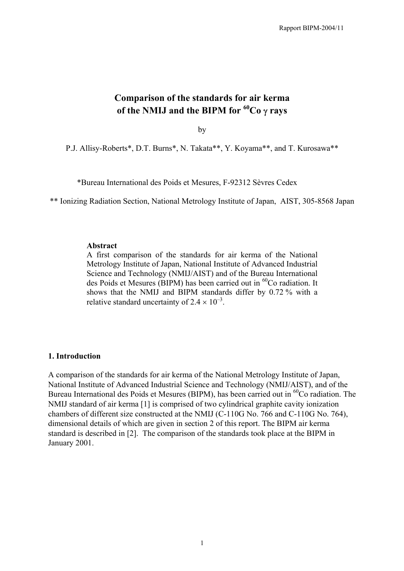# **Comparison of the standards for air kerma of the NMIJ and the BIPM for 60Co** γ **rays**

by

P.J. Allisy-Roberts\*, D.T. Burns\*, N. Takata\*\*, Y. Koyama\*\*, and T. Kurosawa\*\*

\*Bureau International des Poids et Mesures, F-92312 Sèvres Cedex

\*\* Ionizing Radiation Section, National Metrology Institute of Japan, AIST, 305-8568 Japan

#### **Abstract**

A first comparison of the standards for air kerma of the National Metrology Institute of Japan, National Institute of Advanced Industrial Science and Technology (NMIJ/AIST) and of the Bureau International des Poids et Mesures (BIPM) has been carried out in <sup>60</sup>Co radiation. It shows that the NMIJ and BIPM standards differ by 0.72 % with a relative standard uncertainty of  $2.4 \times 10^{-3}$ .

#### **1. Introduction**

A comparison of the standards for air kerma of the National Metrology Institute of Japan, National Institute of Advanced Industrial Science and Technology (NMIJ/AIST), and of the Bureau International des Poids et Mesures (BIPM), has been carried out in  ${}^{60}Co$  radiation. The NMIJ standard of air kerma [1] is comprised of two cylindrical graphite cavity ionization chambers of different size constructed at the NMIJ (C-110G No. 766 and C-110G No. 764), dimensional details of which are given in section 2 of this report. The BIPM air kerma standard is described in [2]. The comparison of the standards took place at the BIPM in January 2001.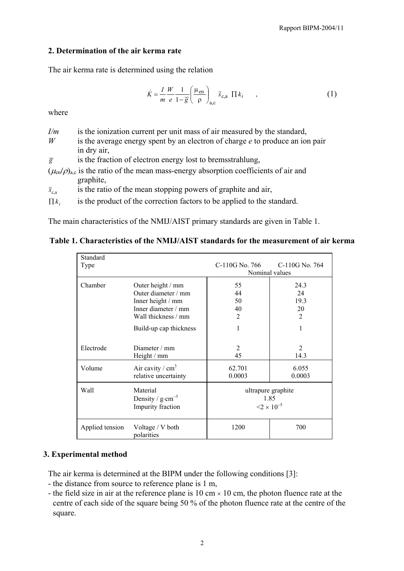## **2. Determination of the air kerma rate**

The air kerma rate is determined using the relation

$$
\dot{K} = \frac{I}{m} \frac{W}{e} \frac{1}{1 - \overline{g}} \left( \frac{\mu_{\text{en}}}{\rho} \right)_{\text{a,c}} \overline{s}_{\text{c,a}} \Pi k_i \quad , \tag{1}
$$

where

| I/m                  | is the ionization current per unit mass of air measured by the standard,                       |
|----------------------|------------------------------------------------------------------------------------------------|
| W                    | is the average energy spent by an electron of charge $e$ to produce an ion pair                |
|                      | in dry air,                                                                                    |
| $\overline{g}$       | is the fraction of electron energy lost to bremsstrahlung,                                     |
|                      | $(\mu_{en}/\rho)_{ac}$ is the ratio of the mean mass-energy absorption coefficients of air and |
|                      | graphite,                                                                                      |
| $\overline{s}_{c,a}$ | is the ratio of the mean stopping powers of graphite and air,                                  |
| $\prod k_i$          | is the product of the correction factors to be applied to the standard.                        |

The main characteristics of the NMIJ/AIST primary standards are given in Table 1.

## **Table 1. Characteristics of the NMIJ/AIST standards for the measurement of air kerma**

| Standard        |                                                              |                                            |                        |
|-----------------|--------------------------------------------------------------|--------------------------------------------|------------------------|
| Type            |                                                              | C-110G No. 766                             | C-110G No. 764         |
|                 |                                                              | Nominal values                             |                        |
| Chamber         | Outer height / mm                                            | 55                                         | 24.3                   |
|                 | Outer diameter / mm                                          | 44                                         | 24                     |
|                 | Inner height / mm                                            | 50                                         | 19.3                   |
|                 | Inner diameter / mm                                          | 40                                         | 20                     |
|                 | Wall thickness / mm                                          | $\overline{2}$                             | 2                      |
|                 | Build-up cap thickness                                       | 1                                          | 1                      |
| Electrode       | Diameter $/mm$<br>Height / mm                                | $\overline{2}$<br>45                       | $\mathfrak{D}$<br>14.3 |
| Volume          | Air cavity / $cm3$<br>relative uncertainty                   | 62.701<br>0.0003                           | 6.055<br>0.0003        |
| Wall            | Material<br>Density / $g \cdot cm^{-3}$<br>Impurity fraction | 1.85<br>$\leq$ 2 $\times$ 10 <sup>-5</sup> | ultrapure graphite     |
| Applied tension | Voltage / V both<br>polarities                               | 1200                                       | 700                    |

## **3. Experimental method**

The air kerma is determined at the BIPM under the following conditions [3]:

- the distance from source to reference plane is 1 m,
- the field size in air at the reference plane is 10 cm  $\times$  10 cm, the photon fluence rate at the centre of each side of the square being 50 % of the photon fluence rate at the centre of the square.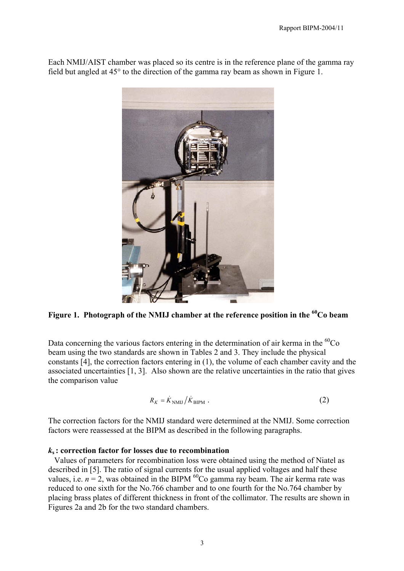Each NMIJ/AIST chamber was placed so its centre is in the reference plane of the gamma ray field but angled at 45° to the direction of the gamma ray beam as shown in Figure 1.



Figure 1. Photograph of the NMIJ chamber at the reference position in the <sup>60</sup>Co beam

Data concerning the various factors entering in the determination of air kerma in the  ${}^{60}Co$ beam using the two standards are shown in Tables 2 and 3. They include the physical constants [4], the correction factors entering in (1), the volume of each chamber cavity and the associated uncertainties [1, 3]. Also shown are the relative uncertainties in the ratio that gives the comparison value

$$
R_K = \dot{K}_{\text{NMIJ}} / \dot{K}_{\text{BIPM}} \tag{2}
$$

The correction factors for the NMIJ standard were determined at the NMIJ. Some correction factors were reassessed at the BIPM as described in the following paragraphs.

### *k***s : correction factor for losses due to recombination**

 Values of parameters for recombination loss were obtained using the method of Niatel as described in [5]. The ratio of signal currents for the usual applied voltages and half these values, i.e.  $n = 2$ , was obtained in the BIPM <sup>60</sup>Co gamma ray beam. The air kerma rate was reduced to one sixth for the No.766 chamber and to one fourth for the No.764 chamber by placing brass plates of different thickness in front of the collimator. The results are shown in Figures 2a and 2b for the two standard chambers.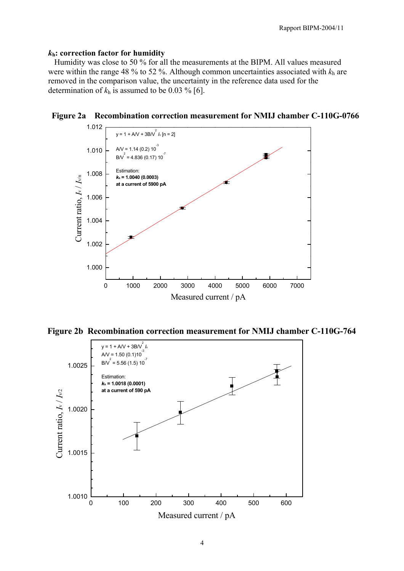## *k***h: correction factor for humidity**

 Humidity was close to 50 % for all the measurements at the BIPM. All values measured were within the range 48 % to 52 %. Although common uncertainties associated with  $k<sub>h</sub>$  are removed in the comparison value, the uncertainty in the reference data used for the determination of  $k_h$  is assumed to be 0.03 % [6].



**Figure 2a Recombination correction measurement for NMIJ chamber C-110G-0766**

**Figure 2b Recombination correction measurement for NMIJ chamber C-110G-764**

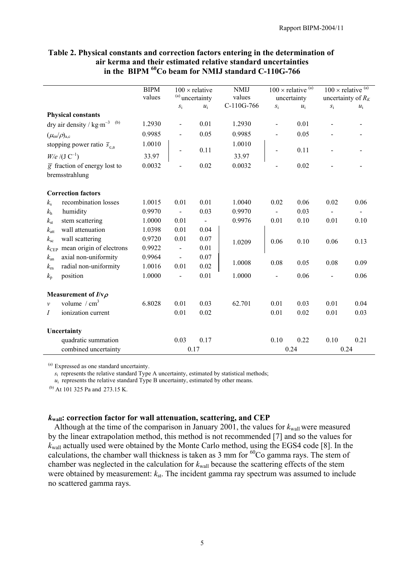|                                 |                                              | <b>BIPM</b> | $100 \times$ relative      |       | <b>NMIJ</b> | $100 \times$ relative $(a)$ |       | $100 \times$ relative $(a)$ |       |
|---------------------------------|----------------------------------------------|-------------|----------------------------|-------|-------------|-----------------------------|-------|-----------------------------|-------|
|                                 |                                              | values      | <sup>(a)</sup> uncertainty |       | values      | uncertainty                 |       | uncertainty of $R_K$        |       |
|                                 |                                              |             | $S_1$                      | $u_i$ | C-110G-766  | $S_{\rm i}$                 | $u_i$ | $S_{\rm i}$                 | $u_i$ |
|                                 | <b>Physical constants</b>                    |             |                            |       |             |                             |       |                             |       |
|                                 | dry air density / $kg·m^{-3}$ <sup>(b)</sup> | 1.2930      | $\overline{\phantom{a}}$   | 0.01  | 1.2930      |                             | 0.01  |                             |       |
| $(\mu_{\rm en}/\rho)_{\rm a.c}$ |                                              | 0.9985      |                            | 0.05  | 0.9985      |                             | 0.05  |                             |       |
|                                 | stopping power ratio $\bar{s}_{c,a}$         | 1.0010      |                            | 0.11  | 1.0010      |                             | 0.11  |                             |       |
|                                 | $W/e / (J C^{-1})$                           | 33.97       |                            |       | 33.97       |                             |       |                             |       |
|                                 | $\overline{g}$ fraction of energy lost to    | 0.0032      |                            | 0.02  | 0.0032      |                             | 0.02  |                             |       |
|                                 | bremsstrahlung                               |             |                            |       |             |                             |       |                             |       |
|                                 |                                              |             |                            |       |             |                             |       |                             |       |
|                                 | <b>Correction factors</b>                    |             |                            |       |             |                             |       |                             |       |
| $k_{\rm s}$                     | recombination losses                         | 1.0015      | 0.01                       | 0.01  | 1.0040      | 0.02                        | 0.06  | 0.02                        | 0.06  |
| $k_{\rm h}$                     | humidity                                     | 0.9970      | $\blacksquare$             | 0.03  | 0.9970      |                             | 0.03  |                             |       |
| $k_{\rm st}$                    | stem scattering                              | 1.0000      | 0.01                       |       | 0.9976      | 0.01                        | 0.10  | 0.01                        | 0.10  |
| $k_{\rm att}$                   | wall attenuation                             | 1.0398      | 0.01                       | 0.04  |             |                             |       |                             |       |
| $k_{\rm sc}$                    | wall scattering                              | 0.9720      | 0.01                       | 0.07  | 1.0209      | 0.06                        | 0.10  | 0.06                        | 0.13  |
| $k_{\rm CEP}$                   | mean origin of electrons                     | 0.9922      |                            | 0.01  |             |                             |       |                             |       |
| $k_{\rm an}$                    | axial non-uniformity                         | 0.9964      | $\blacksquare$             | 0.07  | 1.0008      | 0.08                        | 0.05  | 0.08                        | 0.09  |
| $k_{\rm m}$                     | radial non-uniformity                        | 1.0016      | 0.01                       | 0.02  |             |                             |       |                             |       |
| $k_{p}$                         | position                                     | 1.0000      | $\overline{\phantom{0}}$   | 0.01  | 1.0000      |                             | 0.06  |                             | 0.06  |
|                                 | Measurement of $I/v\rho$                     |             |                            |       |             |                             |       |                             |       |
|                                 | volume $/cm3$                                |             |                            |       |             |                             |       |                             |       |
| $\mathcal{V}$                   |                                              | 6.8028      | 0.01                       | 0.03  | 62.701      | 0.01                        | 0.03  | 0.01                        | 0.04  |
| $\overline{I}$                  | ionization current                           |             | 0.01                       | 0.02  |             | 0.01                        | 0.02  | 0.01                        | 0.03  |
|                                 | Uncertainty                                  |             |                            |       |             |                             |       |                             |       |
|                                 | quadratic summation                          |             | 0.03                       | 0.17  |             | 0.10                        | 0.22  | 0.10                        | 0.21  |
|                                 | combined uncertainty                         |             |                            | 0.17  |             |                             | 0.24  |                             | 0.24  |

### **Table 2. Physical constants and correction factors entering in the determination of air kerma and their estimated relative standard uncertainties in the BIPM 60Co beam for NMIJ standard C-110G-766**

(a) Expressed as one standard uncertainty.

*s*<sub>i</sub> represents the relative standard Type A uncertainty, estimated by statistical methods;

 $u_i$  represents the relative standard Type B uncertainty, estimated by other means.

(b) At 101 325 Pa and 273.15 K.

## *k***wall: correction factor for wall attenuation, scattering, and CEP**

Although at the time of the comparison in January 2001, the values for  $k_{\text{wall}}$  were measured by the linear extrapolation method, this method is not recommended [7] and so the values for *k*<sub>wall</sub> actually used were obtained by the Monte Carlo method, using the EGS4 code [8]. In the calculations, the chamber wall thickness is taken as  $3 \text{ mm}$  for  $^{60}$ Co gamma rays. The stem of chamber was neglected in the calculation for  $k_{\text{wall}}$  because the scattering effects of the stem were obtained by measurement:  $k_{st}$ . The incident gamma ray spectrum was assumed to include no scattered gamma rays.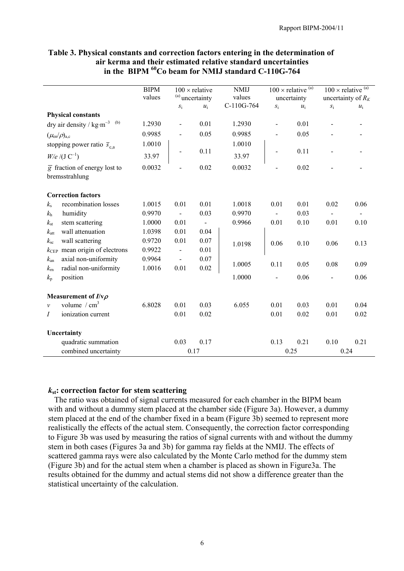|                                           |                                                                | <b>BIPM</b> |                            | $100 \times$ relative | <b>NMIJ</b> |                | $100 \times$ relative $(a)$ |                      | $100 \times$ relative $(a)$ |
|-------------------------------------------|----------------------------------------------------------------|-------------|----------------------------|-----------------------|-------------|----------------|-----------------------------|----------------------|-----------------------------|
|                                           |                                                                | values      | <sup>(a)</sup> uncertainty |                       | values      | uncertainty    |                             | uncertainty of $R_K$ |                             |
|                                           |                                                                |             | $S_1$                      | $u_i$                 | C-110G-764  | $S_1$          | $u_i$                       | $\boldsymbol{S}_{1}$ | $u_i$                       |
|                                           | <b>Physical constants</b>                                      |             |                            |                       |             |                |                             |                      |                             |
|                                           | dry air density / $\text{kg}\cdot\text{m}^{-3}$ <sup>(b)</sup> | 1.2930      | $\blacksquare$             | 0.01                  | 1.2930      | $\overline{a}$ | 0.01                        |                      |                             |
| $(\mu_{\text{\rm en}}/\rho)_{\text{a,c}}$ |                                                                | 0.9985      | $\overline{\phantom{0}}$   | 0.05                  | 0.9985      |                | 0.05                        |                      |                             |
|                                           | stopping power ratio $\bar{s}_{c,a}$                           | 1.0010      |                            |                       | 1.0010      |                |                             |                      |                             |
|                                           | $W/e / (J C^{-1})$                                             | 33.97       |                            | 0.11                  | 33.97       |                | 0.11                        |                      |                             |
|                                           | $\overline{g}$ fraction of energy lost to                      | 0.0032      |                            | 0.02                  | 0.0032      |                | 0.02                        |                      |                             |
|                                           | bremsstrahlung                                                 |             |                            |                       |             |                |                             |                      |                             |
|                                           | <b>Correction factors</b>                                      |             |                            |                       |             |                |                             |                      |                             |
| $k_{\rm s}$                               | recombination losses                                           | 1.0015      | 0.01                       | 0.01                  | 1.0018      | 0.01           | 0.01                        | 0.02                 | 0.06                        |
| $k_{\rm h}$                               | humidity                                                       | 0.9970      |                            | 0.03                  | 0.9970      |                | 0.03                        |                      |                             |
| $k_{\rm st}$                              | stem scattering                                                | 1.0000      | 0.01                       | $\blacksquare$        | 0.9966      | 0.01           | 0.10                        | 0.01                 | 0.10                        |
| $k_{\rm att}$                             | wall attenuation                                               | 1.0398      | 0.01                       | 0.04                  |             |                |                             |                      |                             |
| $k_{\rm sc}$                              | wall scattering                                                | 0.9720      | 0.01                       | 0.07                  | 1.0198      | 0.06           | 0.10                        | 0.06                 | 0.13                        |
| $k_{\rm CEP}$                             | mean origin of electrons                                       | 0.9922      |                            | 0.01                  |             |                |                             |                      |                             |
| $k_{\rm an}$                              | axial non-uniformity                                           | 0.9964      | $\overline{\phantom{a}}$   | 0.07                  | 1.0005      | 0.11           | 0.05                        | 0.08                 | 0.09                        |
| $k_{\rm rn}$                              | radial non-uniformity                                          | 1.0016      | 0.01                       | 0.02                  |             |                |                             |                      |                             |
| $k_{p}$                                   | position                                                       |             |                            |                       | 1.0000      |                | 0.06                        |                      | 0.06                        |
|                                           | Measurement of $I/v\rho$                                       |             |                            |                       |             |                |                             |                      |                             |
| $\mathcal{V}$                             | volume $/cm3$                                                  | 6.8028      | 0.01                       | 0.03                  | 6.055       | 0.01           | 0.03                        | 0.01                 | 0.04                        |
| Ι                                         | ionization current                                             |             | 0.01                       | 0.02                  |             | 0.01           | 0.02                        | 0.01                 | 0.02                        |
|                                           | Uncertainty                                                    |             |                            |                       |             |                |                             |                      |                             |
|                                           | quadratic summation                                            |             | 0.03                       | 0.17                  |             | 0.13           | 0.21                        | 0.10                 | 0.21                        |
|                                           | combined uncertainty                                           |             |                            | 0.17                  |             |                | 0.25                        | 0.24                 |                             |

#### **Table 3. Physical constants and correction factors entering in the determination of air kerma and their estimated relative standard uncertainties** in the BIPM <sup>60</sup>Co beam for NMIJ standard C-110G-764

## *k***st: correction factor for stem scattering**

 The ratio was obtained of signal currents measured for each chamber in the BIPM beam with and without a dummy stem placed at the chamber side (Figure 3a). However, a dummy stem placed at the end of the chamber fixed in a beam (Figure 3b) seemed to represent more realistically the effects of the actual stem. Consequently, the correction factor corresponding to Figure 3b was used by measuring the ratios of signal currents with and without the dummy stem in both cases (Figures 3a and 3b) for gamma ray fields at the NMIJ. The effects of scattered gamma rays were also calculated by the Monte Carlo method for the dummy stem (Figure 3b) and for the actual stem when a chamber is placed as shown in Figure3a. The results obtained for the dummy and actual stems did not show a difference greater than the statistical uncertainty of the calculation.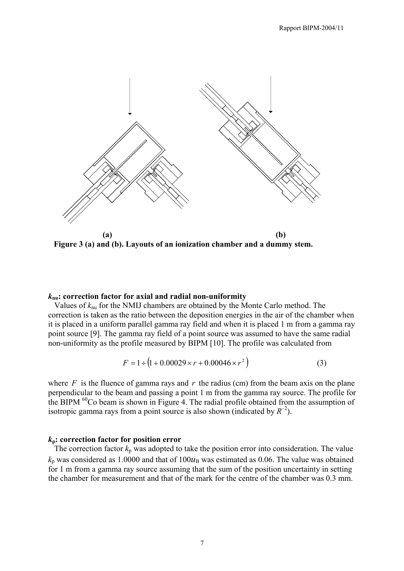

**Figure 3 (a) and (b). Layouts of an ionization chamber and a dummy stem.**

#### *k***nu: correction factor for axial and radial non-uniformity**

 Values of *k*nu for the NMIJ chambers are obtained by the Monte Carlo method. The correction is taken as the ratio between the deposition energies in the air of the chamber when it is placed in a uniform parallel gamma ray field and when it is placed 1 m from a gamma ray point source [9]. The gamma ray field of a point source was assumed to have the same radial non-uniformity as the profile measured by BIPM [10]. The profile was calculated from

$$
F = 1 \div (1 + 0.00029 \times r + 0.00046 \times r^2)
$$
 (3)

where  $F$  is the fluence of gamma rays and  $r$  the radius (cm) from the beam axis on the plane perpendicular to the beam and passing a point 1 m from the gamma ray source. The profile for the BIPM <sup>60</sup>Co beam is shown in Figure 4. The radial profile obtained from the assumption of isotropic gamma rays from a point source is also shown (indicated by  $R^{-2}$ ).

#### *k***p: correction factor for position error**

The correction factor  $k_p$  was adopted to take the position error into consideration. The value  $k_p$  was considered as 1.0000 and that of 100 $u_B$  was estimated as 0.06. The value was obtained for 1 m from a gamma ray source assuming that the sum of the position uncertainty in setting the chamber for measurement and that of the mark for the centre of the chamber was 0.3 mm.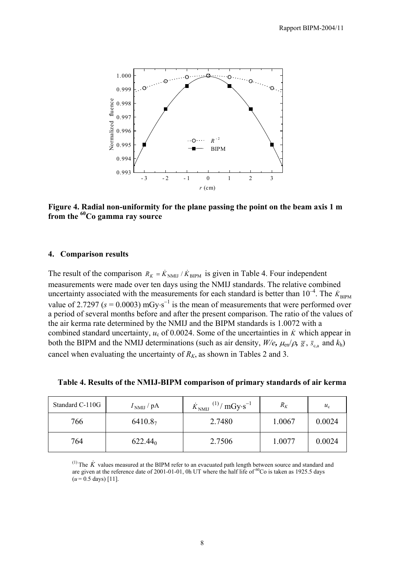

**Figure 4. Radial non-uniformity for the plane passing the point on the beam axis 1 m from the 60Co gamma ray source**

#### **4. Comparison results**

The result of the comparison  $R_K = \dot{K}_{NMI} / \dot{K}_{BIPM}$  is given in Table 4. Four independent measurements were made over ten days using the NMIJ standards. The relative combined uncertainty associated with the measurements for each standard is better than  $10^{-4}$ . The  $\dot{K}_{\text{BIPM}}$ value of 2.7297 ( $s = 0.0003$ ) mGy⋅s<sup>-1</sup> is the mean of measurements that were performed over a period of several months before and after the present comparison. The ratio of the values of the air kerma rate determined by the NMIJ and the BIPM standards is 1.0072 with a combined standard uncertainty,  $u_c$  of 0.0024. Some of the uncertainties in  $\dot{K}$  which appear in both the BIPM and the NMIJ determinations (such as air density,  $W/e$ ,  $\mu_{en}/\rho$ ,  $\bar{g}$ ,  $\bar{s}_{ca}$  and  $k_h$ ) cancel when evaluating the uncertainty of  $R_K$ , as shown in Tables 2 and 3.

| Table 4. Results of the NMIJ-BIPM comparison of primary standards of air kerma |  |  |  |  |  |  |  |
|--------------------------------------------------------------------------------|--|--|--|--|--|--|--|
|                                                                                |  |  |  |  |  |  |  |

| Standard C-110G | $INMIJ$ / pA        | $^{(1)}/$ mGy·s <sup>-1</sup><br>$K_{\text{NMIJ}}$ | $R_K$  | $u_{\rm c}$ |
|-----------------|---------------------|----------------------------------------------------|--------|-------------|
| 766             | 6410.87             | 2.7480                                             | 1.0067 | 0.0024      |
| 764             | 622.44 <sub>0</sub> | 2.7506                                             | 1.0077 | 0.0024      |

 $<sup>(1)</sup>$  The  $\dot{K}$  values measured at the BIPM refer to an evacuated path length between source and standard and</sup> are given at the reference date of 2001-01-01, 0h UT where the half life of  ${}^{60}Co$  is taken as 1925.5 days  $(u = 0.5$  days) [11].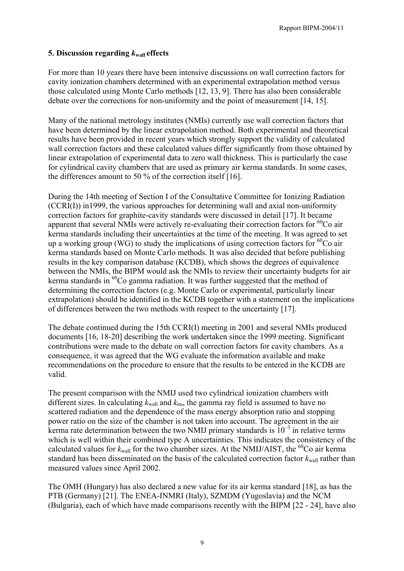## **5. Discussion regarding** *k***wall effects**

For more than 10 years there have been intensive discussions on wall correction factors for cavity ionization chambers determined with an experimental extrapolation method versus those calculated using Monte Carlo methods [12, 13, 9]. There has also been considerable debate over the corrections for non-uniformity and the point of measurement [14, 15].

Many of the national metrology institutes (NMIs) currently use wall correction factors that have been determined by the linear extrapolation method. Both experimental and theoretical results have been provided in recent years which strongly support the validity of calculated wall correction factors and these calculated values differ significantly from those obtained by linear extrapolation of experimental data to zero wall thickness. This is particularly the case for cylindrical cavity chambers that are used as primary air kerma standards. In some cases, the differences amount to 50 % of the correction itself [16].

During the 14th meeting of Section I of the Consultative Committee for Ionizing Radiation (CCRI(I)) in1999, the various approaches for determining wall and axial non-uniformity correction factors for graphite-cavity standards were discussed in detail [17]. It became apparent that several NMIs were actively re-evaluating their correction factors for  ${}^{60}Co$  air kerma standards including their uncertainties at the time of the meeting. It was agreed to set up a working group (WG) to study the implications of using correction factors for  ${}^{60}Co$  air kerma standards based on Monte Carlo methods. It was also decided that before publishing results in the key comparison database (KCDB), which shows the degrees of equivalence between the NMIs, the BIPM would ask the NMIs to review their uncertainty budgets for air kerma standards in <sup>60</sup>Co gamma radiation. It was further suggested that the method of determining the correction factors (e.g. Monte Carlo or experimental, particularly linear extrapolation) should be identified in the KCDB together with a statement on the implications of differences between the two methods with respect to the uncertainty [17].

The debate continued during the 15th CCRI(I) meeting in 2001 and several NMIs produced documents [16, 18-20] describing the work undertaken since the 1999 meeting. Significant contributions were made to the debate on wall correction factors for cavity chambers. As a consequence, it was agreed that the WG evaluate the information available and make recommendations on the procedure to ensure that the results to be entered in the KCDB are valid.

The present comparison with the NMIJ used two cylindrical ionization chambers with different sizes. In calculating  $k_{\text{wall}}$  and  $k_{\text{nu}}$ , the gamma ray field is assumed to have no scattered radiation and the dependence of the mass energy absorption ratio and stopping power ratio on the size of the chamber is not taken into account. The agreement in the air kerma rate determination between the two NMIJ primary standards is  $10^{-3}$  in relative terms which is well within their combined type A uncertainties. This indicates the consistency of the calculated values for  $k_{\text{wall}}$  for the two chamber sizes. At the NMIJ/AIST, the <sup>60</sup>Co air kerma standard has been disseminated on the basis of the calculated correction factor  $k_{\text{wall}}$  rather than measured values since April 2002.

The OMH (Hungary) has also declared a new value for its air kerma standard [18], as has the PTB (Germany) [21]. The ENEA-INMRI (Italy), SZMDM (Yugoslavia) and the NCM (Bulgaria), each of which have made comparisons recently with the BIPM [22 - 24], have also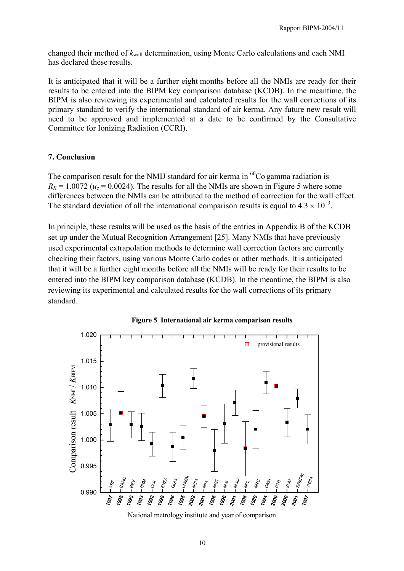changed their method of *k*wall determination, using Monte Carlo calculations and each NMI has declared these results.

It is anticipated that it will be a further eight months before all the NMIs are ready for their results to be entered into the BIPM key comparison database (KCDB). In the meantime, the BIPM is also reviewing its experimental and calculated results for the wall corrections of its primary standard to verify the international standard of air kerma. Any future new result will need to be approved and implemented at a date to be confirmed by the Consultative Committee for Ionizing Radiation (CCRI).

## **7. Conclusion**

The comparison result for the NMIJ standard for air kerma in  ${}^{60}Co$  gamma radiation is  $R_K$  = 1.0072 ( $u_c$  = 0.0024). The results for all the NMIs are shown in Figure 5 where some differences between the NMIs can be attributed to the method of correction for the wall effect. The standard deviation of all the international comparison results is equal to  $4.3 \times 10^{-3}$ .

In principle, these results will be used as the basis of the entries in Appendix B of the KCDB set up under the Mutual Recognition Arrangement [25]. Many NMIs that have previously used experimental extrapolation methods to determine wall correction factors are currently checking their factors, using various Monte Carlo codes or other methods. It is anticipated that it will be a further eight months before all the NMIs will be ready for their results to be entered into the BIPM key comparison database (KCDB). In the meantime, the BIPM is also reviewing its experimental and calculated results for the wall corrections of its primary standard.





National metrology institute and year of comparison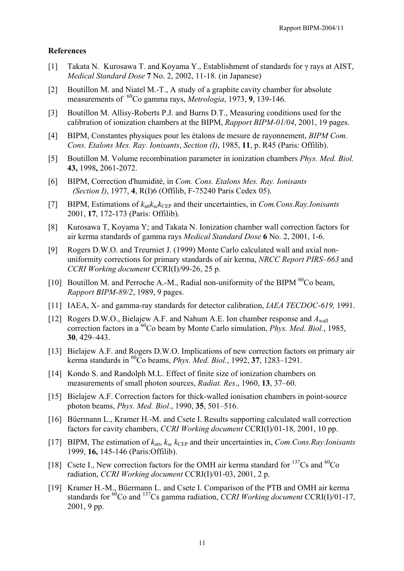### **References**

- [1] Takata N. Kurosawa T. and Koyama Y., Establishment of standards for γ rays at AIST, *Medical Standard Dose* **7** No. 2, 2002, 11-18. (in Japanese)
- [2] Boutillon M. and Niatel M.-T., A study of a graphite cavity chamber for absolute measurements of 60Co gamma rays, *Metrologia*, 1973, **9**, 139-146.
- [3] Boutillon M. Allisy-Roberts P.J. and Burns D.T., Measuring conditions used for the calibration of ionization chambers at the BIPM, *Rapport BIPM-01/04*, 2001, 19 pages.
- [4] BIPM, Constantes physiques pour les étalons de mesure de rayonnement, *BIPM Com. Cons. Etalons Mes. Ray. Ionisants*, *Section (I)*, 1985, **11**, p. R45 (Paris: Offilib).
- [5] Boutillon M. Volume recombination parameter in ionization chambers *Phys. Med. Biol.* **43,** 1998**,** 2061-2072.
- [6] BIPM, Correction d'humidité, in *Com. Cons. Etalons Mes. Ray. Ionisants (Section I)*, 1977, **4**, R(I)6 (Offilib, F-75240 Paris Cedex 05).
- [7] BIPM, Estimations of  $k_{\text{at}}k_{\text{sc}}k_{\text{CFP}}$  and their uncertainties, in *Com.Cons.Ray.Ionisants* 2001, **17**, 172-173 (Paris: Offilib).
- [8] Kurosawa T, Koyama Y; and Takata N. Ionization chamber wall correction factors for air kerma standards of gamma rays *Medical Standard Dose* **6** No. 2, 2001, 1-6.
- [9] Rogers D.W.O. and Treurniet J. (1999) Monte Carlo calculated wall and axial nonuniformity corrections for primary standards of air kerma, *NRCC Report PIRS–663* and *CCRI Working document* CCRI(I)/99-26, 25 p.
- [10] Boutillon M. and Perroche A.-M., Radial non-uniformity of the BIPM  $^{60}$ Co beam, *Rapport BIPM-89/2*, 1989, 9 pages.
- [11] IAEA, X- and gamma-ray standards for detector calibration, *IAEA TECDOC-619,* 1991.
- [12] Rogers D.W.O., Bielajew A.F. and Nahum A.E. Ion chamber response and *A*wall correction factors in a 60Co beam by Monte Carlo simulation, *Phys. Med. Biol.*, 1985, **30**, 429–443.
- [13] Bielajew A.F. and Rogers D.W.O. Implications of new correction factors on primary air kerma standards in 60Co beams, *Phys. Med. Biol.*, 1992, **37**, 1283–1291.
- [14] Kondo S. and Randolph M.L. Effect of finite size of ionization chambers on measurements of small photon sources, *Radiat. Res*., 1960, **13**, 37–60.
- [15] Bielajew A.F. Correction factors for thick-walled ionisation chambers in point-source photon beams, *Phys. Med. Biol*., 1990, **35**, 501–516.
- [16] Büermann L., Kramer H.-M. and Csete I. Results supporting calculated wall correction factors for cavity chambers, *CCRI Working document* CCRI(I)/01-18, 2001, 10 pp.
- [17] BIPM, The estimation of  $k_{\text{att}}$ ,  $k_{\text{sc}}$   $k_{\text{CEP}}$  and their uncertainties in, *Com.Cons.Ray.Ionisants* 1999, **16,** 145-146 (Paris:Offilib).
- [18] Csete I., New correction factors for the OMH air kerma standard for  $^{137}Cs$  and  $^{60}Co$ radiation, *CCRI Working document* CCRI(I)/01-03, 2001, 2 p.
- [19] Kramer H.-M., Büermann L. and Csete I. Comparison of the PTB and OMH air kerma standards for <sup>60</sup>Co and <sup>137</sup>Cs gamma radiation, *CCRI Working document* CCRI(I)/01-17, 2001, 9 pp.